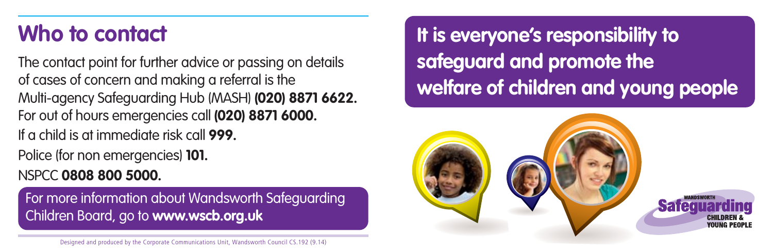## **Who to contact**

The contact point for further advice or passing on details of cases of concern and making a referral is the Multi-agency Safeguarding Hub (MASH) **(020) 8871 6622.** For out of hours emergencies call **(020) 8871 6000.** If a child is at immediate risk call **999.** 

Police (for non emergencies) **101.** 

NSPCC **0808 800 5000.** 

For more information about Wandsworth Safeguarding Children Board, go to **www.wscb.org.uk**

**It is everyone's responsibility to safeguard and promote the welfare of children and young people**